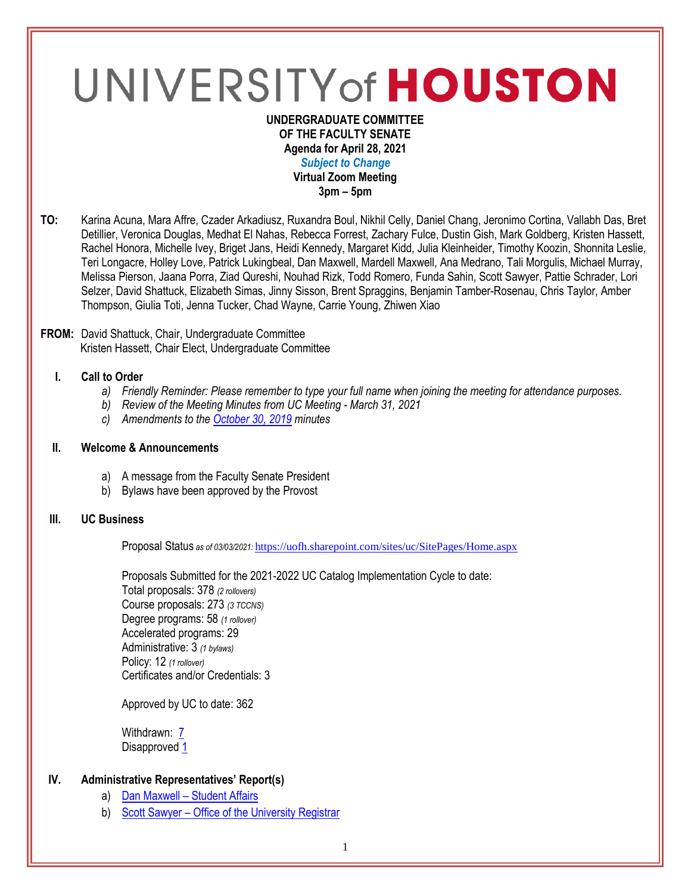# UNIVERSITY of HOUSTON

#### **UNDERGRADUATE COMMITTEE OF THE FACULTY SENATE Agenda for April 28, 2021** *Subject to Change* **Virtual Zoom Meeting 3pm – 5pm**

**TO:** Karina Acuna, Mara Affre, Czader Arkadiusz, Ruxandra Boul, Nikhil Celly, Daniel Chang, Jeronimo Cortina, Vallabh Das, Bret Detillier, Veronica Douglas, Medhat El Nahas, Rebecca Forrest, Zachary Fulce, Dustin Gish, Mark Goldberg, Kristen Hassett, Rachel Honora, Michelle Ivey, Briget Jans, Heidi Kennedy, Margaret Kidd, Julia Kleinheider, Timothy Koozin, Shonnita Leslie, Teri Longacre, Holley Love, Patrick Lukingbeal, Dan Maxwell, Mardell Maxwell, Ana Medrano, Tali Morgulis, Michael Murray, Melissa Pierson, Jaana Porra, Ziad Qureshi, Nouhad Rizk, Todd Romero, Funda Sahin, Scott Sawyer, Pattie Schrader, Lori Selzer, David Shattuck, Elizabeth Simas, Jinny Sisson, Brent Spraggins, Benjamin Tamber-Rosenau, Chris Taylor, Amber Thompson, Giulia Toti, Jenna Tucker, Chad Wayne, Carrie Young, Zhiwen Xiao

#### **FROM:** David Shattuck, Chair, Undergraduate Committee Kristen Hassett, Chair Elect, Undergraduate Committee

# **I. Call to Order**

- *a) Friendly Reminder: Please remember to type your full name when joining the meeting for attendance purposes.*
- *b) Review of the Meeting Minutes from UC Meeting - March 31, 2021*
- *c) Amendments to th[e October 30, 2019](https://uh.edu/undergraduate-committee/meetings/agendas-minutes/ay-1920/m_2019_10301.pdf) minutes*

#### **II. Welcome & Announcements**

- a) A message from the Faculty Senate President
- b) Bylaws have been approved by the Provost

## **III. UC Business**

Proposal Status *as of 03/03/2021:* <https://uofh.sharepoint.com/sites/uc/SitePages/Home.aspx>

Proposals Submitted for the 2021-2022 UC Catalog Implementation Cycle to date: Total proposals: 378 *(2 rollovers)* Course proposals: 273 *(3 TCCNS)* Degree programs: 58 *(1 rollover)* Accelerated programs: 29 Administrative: 3 *(1 bylaws)* Policy: 12 *(1 rollover)* Certificates and/or Credentials: 3

Approved by UC to date: 362

Withdrawn: [7](https://uofh.sharepoint.com/sites/uc/Lists/ProposalSubmissionAndTracking/Submitted%20Proposals%20%20Current%20Year%20%20Grouped.aspx?FilterField1=Proposal%5Fx0020%5FStatus&FilterValue1=Withdrawn%20%2D%20See%20Proposal%20Notes&FilterType1=Choice&viewid=3e8f7d7c%2Dd8a4%2D43cd%2D8f0e%2D60cc2ac81fe6) Disapproved [1](https://uofh.sharepoint.com/:li:/s/uc/E4ACd2YrndNIh854YCMsgNoBnWyeRire7dlsOkBjjfwASw?e=8ubTQF)

## **IV. Administrative Representatives' Report(s)**

- a) Dan Maxwell [Student Affairs](https://uofh.sharepoint.com/:b:/s/uc/admin/EWEv6LzFnRhOsauK9AbOLcMBpsXnel9Gi-UuCMLQBN4tYg?e=YB1Lgy)
- b) Scott Sawyer [Office of the University Registrar](https://uofh.sharepoint.com/:p:/s/uc/admin/EdW9_FDlV5dGnFN4HHGeARkBIPIuivDO7BaFeKgtIbw3RQ?e=DLXae5)